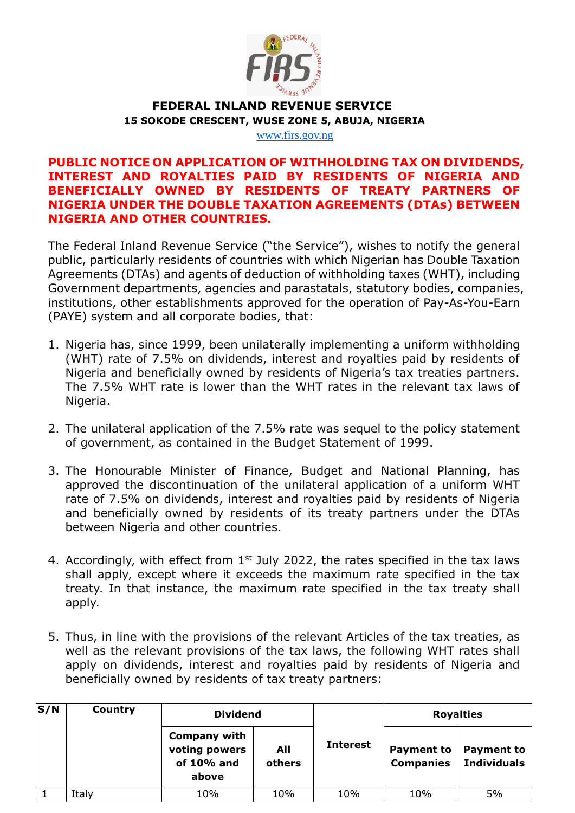

## **FEDERAL INLAND REVENUE SERVICE 15 SOKODE CRESCENT, WUSE ZONE 5, ABUJA, NIGERIA**

[www.firs.gov.ng](http://www.firs.gov.ng/)

## **PUBLIC NOTICE ON APPLICATION OF WITHHOLDING TAX ON DIVIDENDS, INTEREST AND ROYALTIES PAID BY RESIDENTS OF NIGERIA AND BENEFICIALLY OWNED BY RESIDENTS OF TREATY PARTNERS OF NIGERIA UNDER THE DOUBLE TAXATION AGREEMENTS (DTAs) BETWEEN NIGERIA AND OTHER COUNTRIES.**

The Federal Inland Revenue Service ("the Service"), wishes to notify the general public, particularly residents of countries with which Nigerian has Double Taxation Agreements (DTAs) and agents of deduction of withholding taxes (WHT), including Government departments, agencies and parastatals, statutory bodies, companies, institutions, other establishments approved for the operation of Pay-As-You-Earn (PAYE) system and all corporate bodies, that:

- 1. Nigeria has, since 1999, been unilaterally implementing a uniform withholding (WHT) rate of 7.5% on dividends, interest and royalties paid by residents of Nigeria and beneficially owned by residents of Nigeria's tax treaties partners. The 7.5% WHT rate is lower than the WHT rates in the relevant tax laws of Nigeria.
- 2. The unilateral application of the 7.5% rate was sequel to the policy statement of government, as contained in the Budget Statement of 1999.
- 3. The Honourable Minister of Finance, Budget and National Planning, has approved the discontinuation of the unilateral application of a uniform WHT rate of 7.5% on dividends, interest and royalties paid by residents of Nigeria and beneficially owned by residents of its treaty partners under the DTAs between Nigeria and other countries.
- 4. Accordingly, with effect from  $1<sup>st</sup>$  July 2022, the rates specified in the tax laws shall apply, except where it exceeds the maximum rate specified in the tax treaty. In that instance, the maximum rate specified in the tax treaty shall apply.
- 5. Thus, in line with the provisions of the relevant Articles of the tax treaties, as well as the relevant provisions of the tax laws, the following WHT rates shall apply on dividends, interest and royalties paid by residents of Nigeria and beneficially owned by residents of tax treaty partners:

| S/N | <b>Country</b> | <b>Dividend</b>                                                |               |                 | <b>Royalties</b>                      |                                         |
|-----|----------------|----------------------------------------------------------------|---------------|-----------------|---------------------------------------|-----------------------------------------|
|     |                | <b>Company with</b><br>voting powers<br>of $10\%$ and<br>above | All<br>others | <b>Interest</b> | <b>Payment to</b><br><b>Companies</b> | <b>Payment to</b><br><b>Individuals</b> |
|     | Italy          | 10%                                                            | 10%           | 10%             | 10%                                   | 5%                                      |